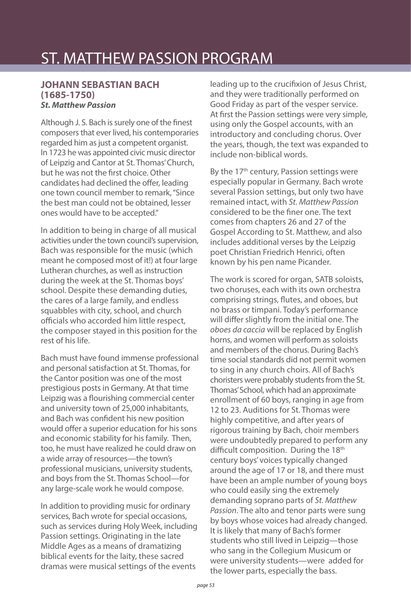## ST. MATTHEW PASSION PROGRAM

## **JOHANN SEBASTIAN BACH (1685-1750) St. Matthew Passion**

Although J. S. Bach is surely one of the finest composers that ever lived, his contemporaries regarded him as just a competent organist. In 1723 he was appointed civic music director of Leipzig and Cantor at St. Thomas' Church, but he was not the first choice. Other candidates had declined the offer, leading one town council member to remark, "Since the best man could not be obtained, lesser ones would have to be accepted."

In addition to being in charge of all musical activities under the town council's supervision, Bach was responsible for the music (which meant he composed most of it!) at four large Lutheran churches, as well as instruction during the week at the St. Thomas boys' school. Despite these demanding duties, the cares of a large family, and endless squabbles with city, school, and church officials who accorded him little respect, the composer stayed in this position for the rest of his life.

Bach must have found immense professional and personal satisfaction at St. Thomas, for the Cantor position was one of the most prestigious posts in Germany. At that time Leipzig was a flourishing commercial center and university town of 25,000 inhabitants, and Bach was confident his new position would offer a superior education for his sons and economic stability for his family. Then, too, he must have realized he could draw on a wide array of resources—the town's professional musicians, university students, and boys from the St. Thomas School—for any large-scale work he would compose.

In addition to providing music for ordinary services, Bach wrote for special occasions, such as services during Holy Week, including Passion settings. Originating in the late Middle Ages as a means of dramatizing biblical events for the laity, these sacred dramas were musical settings of the events

leading up to the crucifixion of Jesus Christ, and they were traditionally performed on Good Friday as part of the vesper service. At first the Passion settings were very simple, using only the Gospel accounts, with an introductory and concluding chorus. Over the years, though, the text was expanded to include non-biblical words.

By the 17<sup>th</sup> century, Passion settings were especially popular in Germany. Bach wrote several Passion settings, but only two have remained intact, with St. Matthew Passion considered to be the finer one. The text comes from chapters 26 and 27 of the Gospel According to St. Matthew, and also includes additional verses by the Leipzig poet Christian Friedrich Henrici, often known by his pen name Picander.

The work is scored for organ, SATB soloists, two choruses, each with its own orchestra comprising strings, flutes, and oboes, but no brass or timpani. Today's performance will differ slightly from the initial one. The oboes da caccia will be replaced by English horns, and women will perform as soloists and members of the chorus. During Bach's time social standards did not permit women to sing in any church choirs. All of Bach's choristers were probably students from the St. Thomas' School, which had an approximate enrollment of 60 boys, ranging in age from 12 to 23. Auditions for St. Thomas were highly competitive, and after years of rigorous training by Bach, choir members were undoubtedly prepared to perform any difficult composition. During the 18<sup>th</sup> century boys' voices typically changed around the age of 17 or 18, and there must have been an ample number of young boys who could easily sing the extremely demanding soprano parts of St. Matthew Passion. The alto and tenor parts were sung by boys whose voices had already changed. It is likely that many of Bach's former students who still lived in Leipzig—those who sang in the Collegium Musicum or were university students—were added for the lower parts, especially the bass.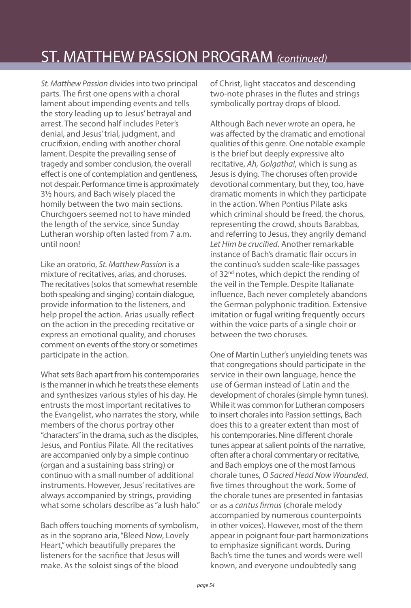## ST. MATTHEW PASSION PROGRAM (continued)

St. Matthew Passion divides into two principal parts. The first one opens with a choral lament about impending events and tells the story leading up to Jesus' betrayal and arrest. The second half includes Peter's denial, and Jesus' trial, judgment, and crucifixion, ending with another choral lament. Despite the prevailing sense of tragedy and somber conclusion, the overall effect is one of contemplation and gentleness, not despair. Performance time is approximately 3½ hours, and Bach wisely placed the homily between the two main sections. Churchgoers seemed not to have minded the length of the service, since Sunday Lutheran worship often lasted from 7 a.m. until noon!

Like an oratorio, St. Matthew Passion is a mixture of recitatives, arias, and choruses. The recitatives (solos that somewhat resemble both speaking and singing) contain dialogue, provide information to the listeners, and help propel the action. Arias usually reflect on the action in the preceding recitative or express an emotional quality, and choruses comment on events of the story or sometimes participate in the action.

What sets Bach apart from his contemporaries is the manner in which he treats these elements and synthesizes various styles of his day. He entrusts the most important recitatives to the Evangelist, who narrates the story, while members of the chorus portray other "characters" in the drama, such as the disciples, Jesus, and Pontius Pilate. All the recitatives are accompanied only by a simple continuo (organ and a sustaining bass string) or continuo with a small number of additional instruments. However, Jesus' recitatives are always accompanied by strings, providing what some scholars describe as "a lush halo."

Bach offers touching moments of symbolism, as in the soprano aria, "Bleed Now, Lovely Heart," which beautifully prepares the listeners for the sacrifice that Jesus will make. As the soloist sings of the blood

of Christ, light staccatos and descending two-note phrases in the flutes and strings symbolically portray drops of blood.

Although Bach never wrote an opera, he was affected by the dramatic and emotional qualities of this genre. One notable example is the brief but deeply expressive alto recitative, Ah, Golgatha!, which is sung as Jesus is dying. The choruses often provide devotional commentary, but they, too, have dramatic moments in which they participate in the action. When Pontius Pilate asks which criminal should be freed, the chorus, representing the crowd, shouts Barabbas, and referring to Jesus, they angrily demand Let Him be crucified. Another remarkable instance of Bach's dramatic flair occurs in the continuo's sudden scale-like passages of 32<sup>nd</sup> notes, which depict the rending of the veil in the Temple. Despite Italianate influence, Bach never completely abandons the German polyphonic tradition. Extensive imitation or fugal writing frequently occurs within the voice parts of a single choir or between the two choruses.

One of Martin Luther's unyielding tenets was that congregations should participate in the service in their own language, hence the use of German instead of Latin and the development of chorales (simple hymn tunes). While it was common for Lutheran composers to insert chorales into Passion settings, Bach does this to a greater extent than most of his contemporaries. Nine different chorale tunes appear at salient points of the narrative, often after a choral commentary or recitative, and Bach employs one of the most famous chorale tunes, O Sacred Head Now Wounded, five times throughout the work. Some of the chorale tunes are presented in fantasias or as a cantus firmus (chorale melody accompanied by numerous counterpoints in other voices). However, most of the them appear in poignant four-part harmonizations to emphasize significant words. During Bach's time the tunes and words were well known, and everyone undoubtedly sang